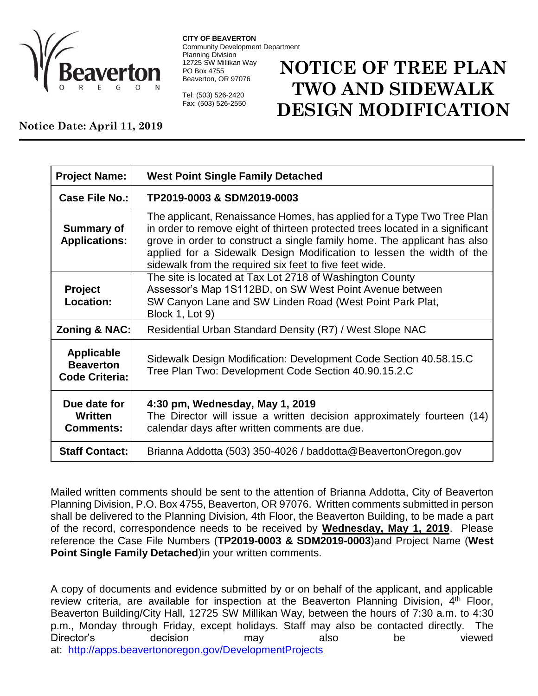

**CITY OF BEAVERTON** Community Development Department Planning Division 12725 SW Millikan Way PO Box 4755 Beaverton, OR 97076

Tel: (503) 526-2420 Fax: (503) 526-2550

## **NOTICE OF TREE PLAN TWO AND SIDEWALK DESIGN MODIFICATION**

## **Notice Date: April 11, 2019**

| <b>Project Name:</b>                                           | <b>West Point Single Family Detached</b>                                                                                                                                                                                                                                                                                                                               |
|----------------------------------------------------------------|------------------------------------------------------------------------------------------------------------------------------------------------------------------------------------------------------------------------------------------------------------------------------------------------------------------------------------------------------------------------|
| Case File No.:                                                 | TP2019-0003 & SDM2019-0003                                                                                                                                                                                                                                                                                                                                             |
| <b>Summary of</b><br><b>Applications:</b>                      | The applicant, Renaissance Homes, has applied for a Type Two Tree Plan<br>in order to remove eight of thirteen protected trees located in a significant<br>grove in order to construct a single family home. The applicant has also<br>applied for a Sidewalk Design Modification to lessen the width of the<br>sidewalk from the required six feet to five feet wide. |
| <b>Project</b><br><b>Location:</b>                             | The site is located at Tax Lot 2718 of Washington County<br>Assessor's Map 1S112BD, on SW West Point Avenue between<br>SW Canyon Lane and SW Linden Road (West Point Park Plat,<br>Block 1, Lot 9)                                                                                                                                                                     |
| Zoning & NAC:                                                  | Residential Urban Standard Density (R7) / West Slope NAC                                                                                                                                                                                                                                                                                                               |
| <b>Applicable</b><br><b>Beaverton</b><br><b>Code Criteria:</b> | Sidewalk Design Modification: Development Code Section 40.58.15.C<br>Tree Plan Two: Development Code Section 40.90.15.2.C                                                                                                                                                                                                                                              |
| Due date for<br>Written<br><b>Comments:</b>                    | 4:30 pm, Wednesday, May 1, 2019<br>The Director will issue a written decision approximately fourteen (14)<br>calendar days after written comments are due.                                                                                                                                                                                                             |
| <b>Staff Contact:</b>                                          | Brianna Addotta (503) 350-4026 / baddotta@BeavertonOregon.gov                                                                                                                                                                                                                                                                                                          |

Mailed written comments should be sent to the attention of Brianna Addotta, City of Beaverton Planning Division, P.O. Box 4755, Beaverton, OR 97076. Written comments submitted in person shall be delivered to the Planning Division, 4th Floor, the Beaverton Building, to be made a part of the record, correspondence needs to be received by **Wednesday, May 1, 2019**. Please reference the Case File Numbers (**TP2019-0003 & SDM2019-0003**)and Project Name (**West Point Single Family Detached**)in your written comments.

A copy of documents and evidence submitted by or on behalf of the applicant, and applicable review criteria, are available for inspection at the Beaverton Planning Division, 4<sup>th</sup> Floor, Beaverton Building/City Hall, 12725 SW Millikan Way, between the hours of 7:30 a.m. to 4:30 p.m., Monday through Friday, except holidays. Staff may also be contacted directly. The Director's decision may also be viewed at: <http://apps.beavertonoregon.gov/DevelopmentProjects>